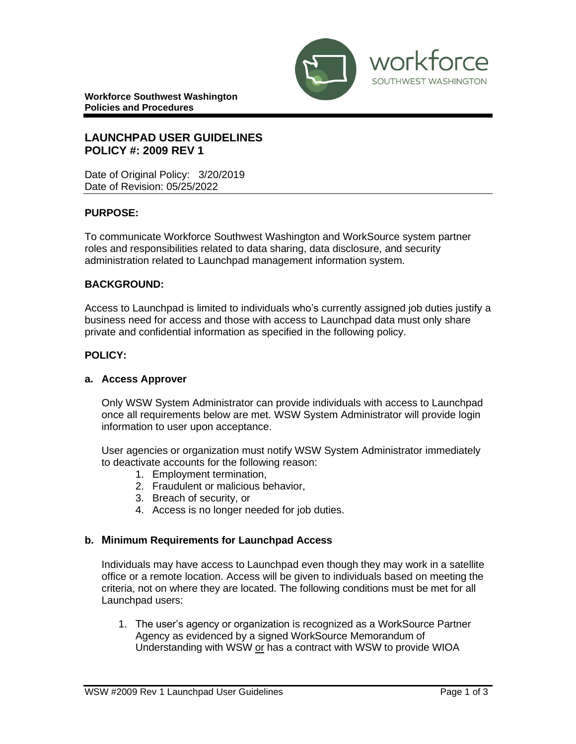

**Workforce Southwest Washington Policies and Procedures** 

## **LAUNCHPAD USER GUIDELINES POLICY #: 2009 REV 1**

Date of Original Policy: 3/20/2019 Date of Revision: 05/25/2022

## **PURPOSE:**

To communicate Workforce Southwest Washington and WorkSource system partner roles and responsibilities related to data sharing, data disclosure, and security administration related to Launchpad management information system.

## **BACKGROUND:**

Access to Launchpad is limited to individuals who's currently assigned job duties justify a business need for access and those with access to Launchpad data must only share private and confidential information as specified in the following policy.

#### **POLICY:**

#### **a. Access Approver**

Only WSW System Administrator can provide individuals with access to Launchpad once all requirements below are met. WSW System Administrator will provide login information to user upon acceptance.

User agencies or organization must notify WSW System Administrator immediately to deactivate accounts for the following reason:

- 1. Employment termination,
- 2. Fraudulent or malicious behavior,
- 3. Breach of security, or
- 4. Access is no longer needed for job duties.

#### **b. Minimum Requirements for Launchpad Access**

Individuals may have access to Launchpad even though they may work in a satellite office or a remote location. Access will be given to individuals based on meeting the criteria, not on where they are located. The following conditions must be met for all Launchpad users:

1. The user's agency or organization is recognized as a WorkSource Partner Agency as evidenced by a signed WorkSource Memorandum of Understanding with WSW or has a contract with WSW to provide WIOA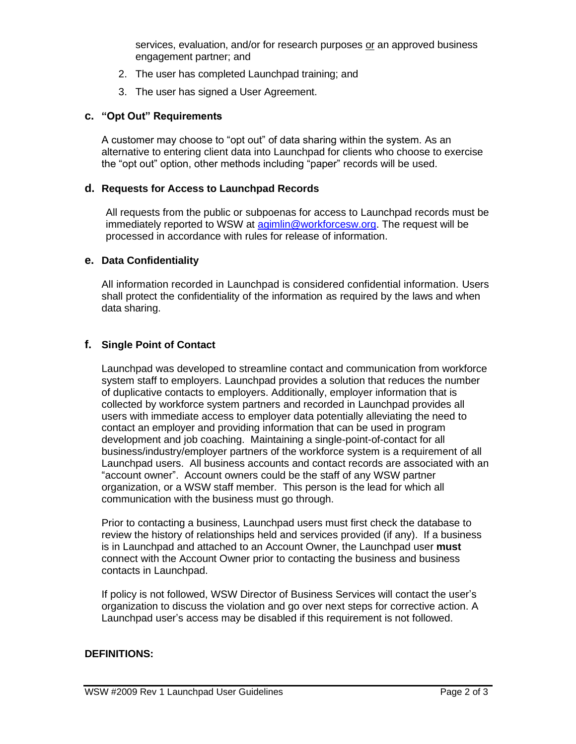services, evaluation, and/or for research purposes or an approved business engagement partner; and

- 2. The user has completed Launchpad training; and
- 3. The user has signed a User Agreement.

## **c. "Opt Out" Requirements**

A customer may choose to "opt out" of data sharing within the system. As an alternative to entering client data into Launchpad for clients who choose to exercise the "opt out" option, other methods including "paper" records will be used.

## **d. Requests for Access to Launchpad Records**

All requests from the public or subpoenas for access to Launchpad records must be immediately reported to WSW at [agimlin@workforcesw.org.](mailto:agimlin@workforcesw.org) The request will be processed in accordance with rules for release of information.

## **e. Data Confidentiality**

All information recorded in Launchpad is considered confidential information. Users shall protect the confidentiality of the information as required by the laws and when data sharing.

## **f. Single Point of Contact**

Launchpad was developed to streamline contact and communication from workforce system staff to employers. Launchpad provides a solution that reduces the number of duplicative contacts to employers. Additionally, employer information that is collected by workforce system partners and recorded in Launchpad provides all users with immediate access to employer data potentially alleviating the need to contact an employer and providing information that can be used in program development and job coaching. Maintaining a single-point-of-contact for all business/industry/employer partners of the workforce system is a requirement of all Launchpad users. All business accounts and contact records are associated with an "account owner". Account owners could be the staff of any WSW partner organization, or a WSW staff member. This person is the lead for which all communication with the business must go through.

Prior to contacting a business, Launchpad users must first check the database to review the history of relationships held and services provided (if any). If a business is in Launchpad and attached to an Account Owner, the Launchpad user **must** connect with the Account Owner prior to contacting the business and business contacts in Launchpad.

If policy is not followed, WSW Director of Business Services will contact the user's organization to discuss the violation and go over next steps for corrective action. A Launchpad user's access may be disabled if this requirement is not followed.

## **DEFINITIONS:**